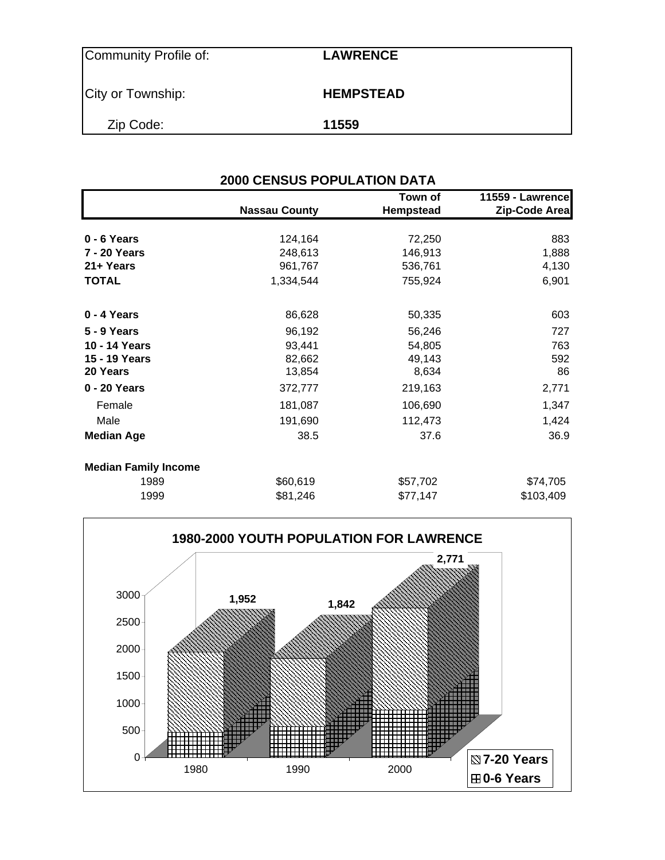| Community Profile of: | <b>LAWRENCE</b>  |  |
|-----------------------|------------------|--|
| City or Township:     | <b>HEMPSTEAD</b> |  |
| Zip Code:             | 11559            |  |

| <b>2000 CENSUS POPULATION DATA</b> |                      |                             |                                   |  |  |  |  |
|------------------------------------|----------------------|-----------------------------|-----------------------------------|--|--|--|--|
|                                    | <b>Nassau County</b> | Town of<br><b>Hempstead</b> | 11559 - Lawrence<br>Zip-Code Area |  |  |  |  |
| 0 - 6 Years                        | 124,164              | 72,250                      | 883                               |  |  |  |  |
| 7 - 20 Years                       | 248,613              | 146,913                     | 1,888                             |  |  |  |  |
| 21+ Years                          | 961,767              | 536,761                     | 4,130                             |  |  |  |  |
| <b>TOTAL</b>                       | 1,334,544            | 755,924                     | 6,901                             |  |  |  |  |
| 0 - 4 Years                        | 86,628               | 50,335                      | 603                               |  |  |  |  |
| <b>5 - 9 Years</b>                 | 96,192               | 56,246                      | 727                               |  |  |  |  |
| 10 - 14 Years                      | 93,441               | 54,805                      | 763                               |  |  |  |  |
| 15 - 19 Years                      | 82,662               | 49,143                      | 592                               |  |  |  |  |
| 20 Years                           | 13,854               | 8,634                       | 86                                |  |  |  |  |
| 0 - 20 Years                       | 372,777              | 219,163                     | 2,771                             |  |  |  |  |
| Female                             | 181,087              | 106,690                     | 1,347                             |  |  |  |  |
| Male                               | 191,690              | 112,473                     | 1,424                             |  |  |  |  |
| <b>Median Age</b>                  | 38.5                 | 37.6                        | 36.9                              |  |  |  |  |
| <b>Median Family Income</b>        |                      |                             |                                   |  |  |  |  |
| 1989                               | \$60,619             | \$57,702                    | \$74,705                          |  |  |  |  |
| 1999                               | \$81,246             | \$77,147                    | \$103,409                         |  |  |  |  |

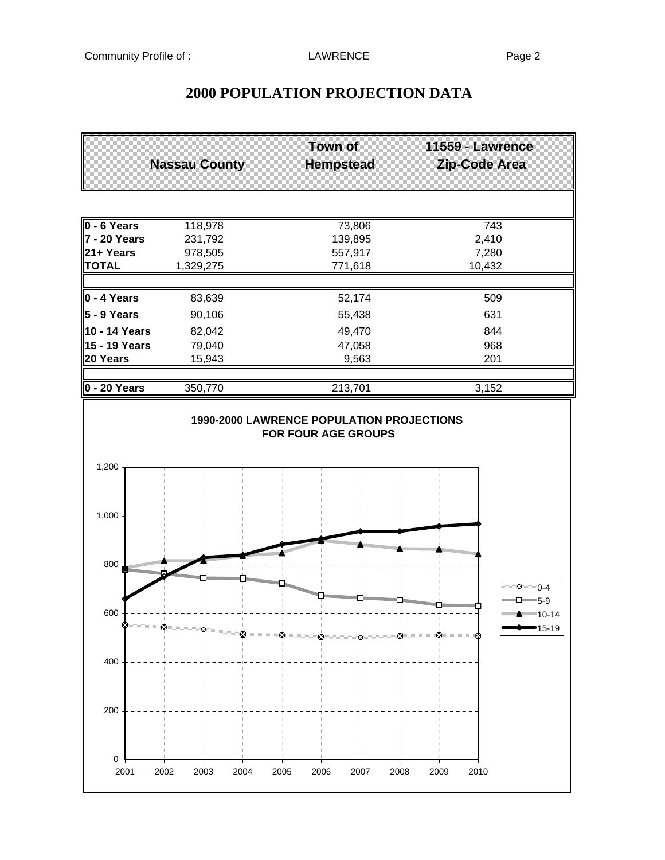|                     | <b>Town of</b><br><b>Nassau County</b><br><b>Hempstead</b> |                      | 11559 - Lawrence<br>Zip-Code Area |
|---------------------|------------------------------------------------------------|----------------------|-----------------------------------|
| 0 - 6 Years         | 118,978                                                    | 73,806               | 743                               |
| <b>7 - 20 Years</b> | 231,792                                                    | 139,895              | 2,410                             |
| 21+ Years           | 978,505                                                    | 557,917              | 7,280                             |
| <b>TOTAL</b>        | 1,329,275                                                  | 771,618              | 10,432                            |
| 0 - 4 Years         | 83,639                                                     | 52,174               | 509                               |
| $5 - 9$ Years       | 90,106                                                     | 55,438               | 631                               |
| 10 - 14 Years       | 82,042                                                     | 49,470               | 844                               |
| 15 - 19 Years       | 79,040                                                     | 47,058               | 968                               |
| 20 Years            | 15,943                                                     | 9,563                | 201                               |
| 0 - 20 Years        | 350,770                                                    | 213,701              | 3,152                             |
| 1,200<br>1,000      |                                                            |                      |                                   |
| $800 \pm 100$       |                                                            | <b>Bahamanggun</b>   | gunnan an an an a<br>ີ x=≕0-4     |
| 600                 | manang p<br>mana                                           | mma<br>×<br>man<br>M | $\Box$ 5-9<br>15-19               |
| 400                 |                                                            |                      |                                   |
| 200                 |                                                            |                      |                                   |
| 0<br>2001           | 2002<br>2003<br>2004                                       | 2005<br>2006<br>2007 | 2008<br>2009<br>2010              |

# **2000 POPULATION PROJECTION DATA**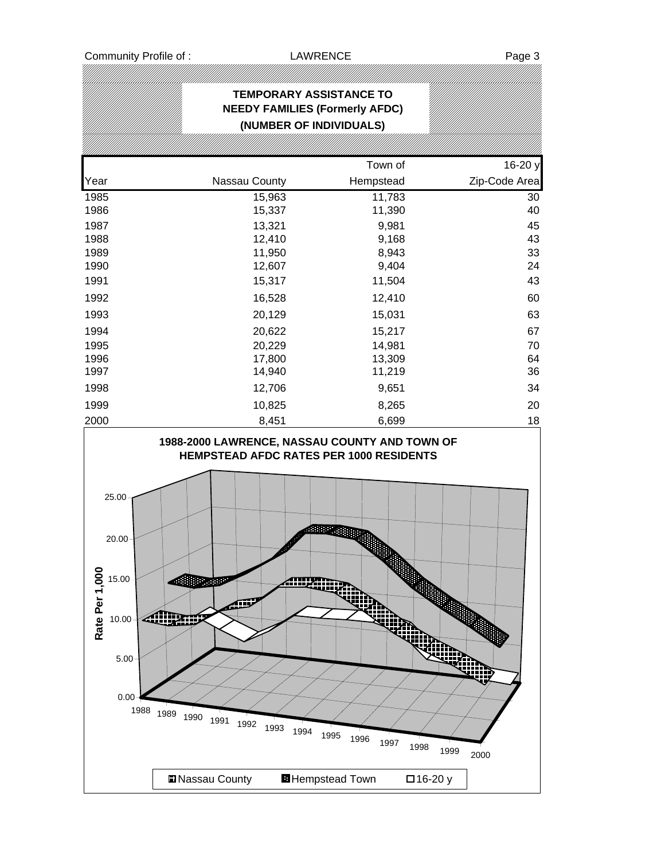# **TEMPORARY ASSISTANCE TO NEEDY FAMILIES (Formerly AFDC) (NUMBER OF INDIVIDUALS)** Town of 16-20 y Year **Nassau County** Hempstead **Zip-Code Area** 1985 15,963 11,783 30 1986 15,337 11,390 40 1987 13,321 9,981 45 1988 12,410 9,168 43 1989 11,950 8,943 33 1990 12,607 9,404 24 1991 15,317 11,504 43 1992 16,528 12,410 60 1993 20,129 15,031 63 1994 20,622 15,217 67 1995 20,229 14,981 70 1996 17,800 13,309 64 1997 14,940 11,219 36 1998 12,706 9,651 34 1999 10,825 8,265 20 2000 8,451 6,699 18 20.00 25.00 **1988-2000 LAWRENCE, NASSAU COUNTY AND TOWN OF HEMPSTEAD AFDC RATES PER 1000 RESIDENTS**

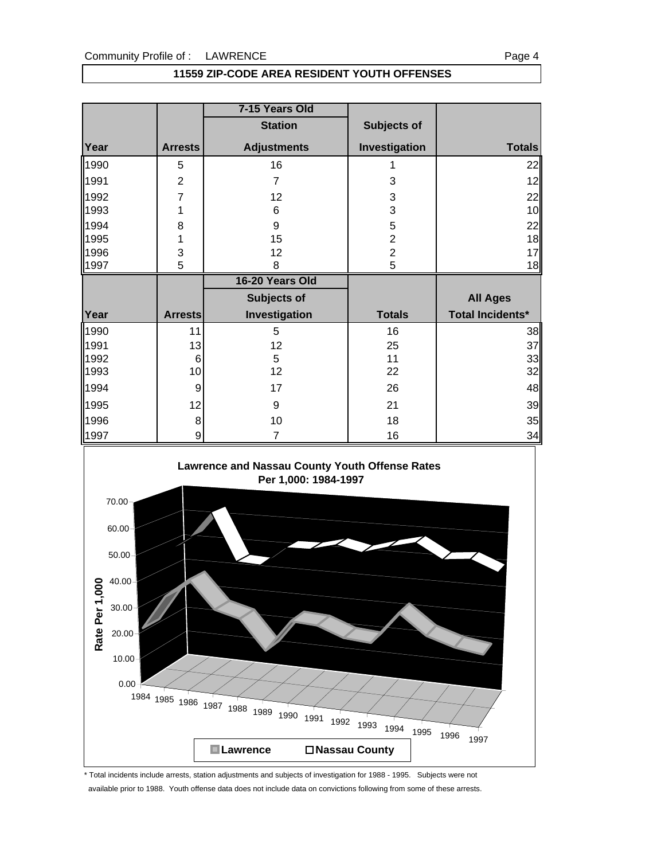## **11559 ZIP-CODE AREA RESIDENT YOUTH OFFENSES**

|              |                | 7-15 Years Old     |                    |                         |
|--------------|----------------|--------------------|--------------------|-------------------------|
|              |                | <b>Station</b>     | <b>Subjects of</b> |                         |
| Year         | <b>Arrests</b> | <b>Adjustments</b> | Investigation      | <b>Totals</b>           |
| 1990         | 5              | 16                 |                    | 22                      |
| 1991         | $\overline{2}$ | $\overline{7}$     | 3                  | 12                      |
| 1992         | 7              | 12                 | 3                  | 22                      |
| 1993         | 1              | 6                  | 3                  | 10                      |
| 1994         | 8              | 9                  | 5                  | 22                      |
| 1995         | 1              | 15                 | $\overline{2}$     | 18                      |
| 1996         | 3              | 12                 | $\overline{2}$     | 17                      |
| 1997         | 5              | 8                  | 5                  | 18                      |
|              |                |                    |                    |                         |
|              |                | 16-20 Years Old    |                    |                         |
|              |                | Subjects of        |                    | <b>All Ages</b>         |
| Year         | <b>Arrests</b> | Investigation      | <b>Totals</b>      | <b>Total Incidents*</b> |
|              | 11             | 5                  | 16                 |                         |
| 1990<br>1991 | 13             | 12                 | 25                 |                         |
| 1992         | 6              | 5                  | 11                 | 38<br>37<br>33          |
| 1993         | 10             | 12                 | 22                 | 32                      |
|              | 9              | 17                 | 26                 |                         |
| 1994<br>1995 | 12             | 9                  | 21                 | 48<br>39                |
| 1996         | 8              | 10                 | 18                 | 35                      |



\* Total incidents include arrests, station adjustments and subjects of investigation for 1988 - 1995. Subjects were not available prior to 1988. Youth offense data does not include data on convictions following from some of these arrests.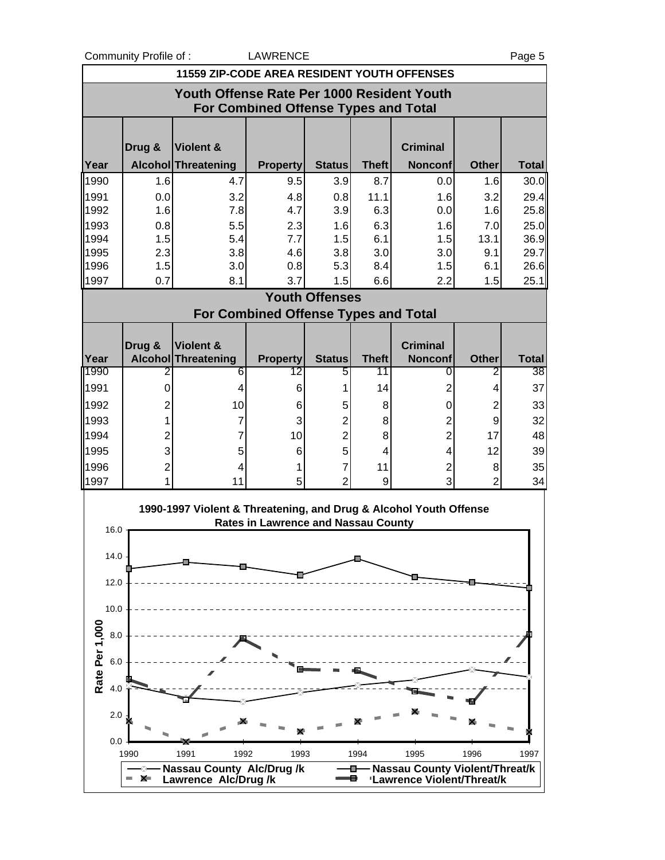Community Profile of : CAWRENCE **Example 2018** Page 5

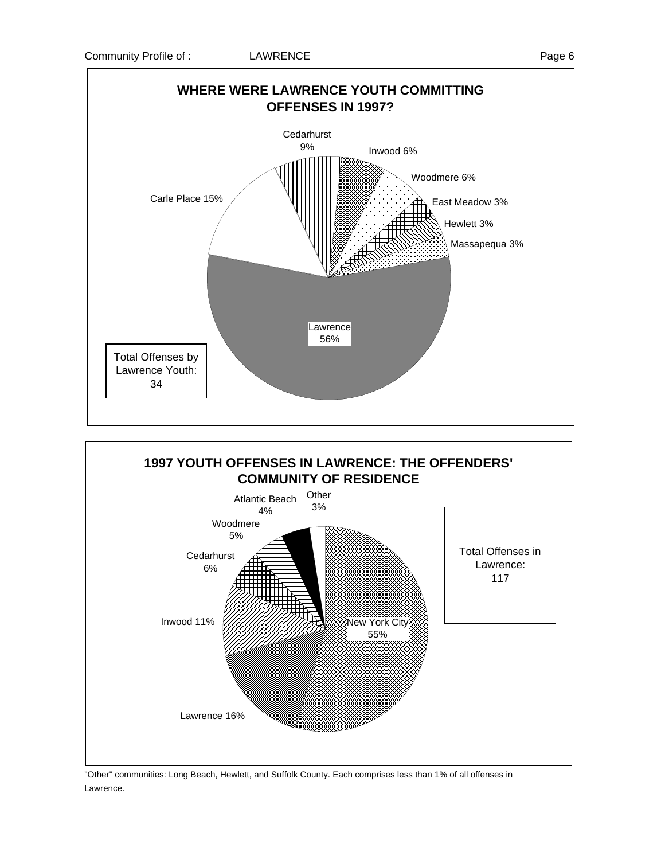



"Other" communities: Long Beach, Hewlett, and Suffolk County. Each comprises less than 1% of all offenses in Lawrence.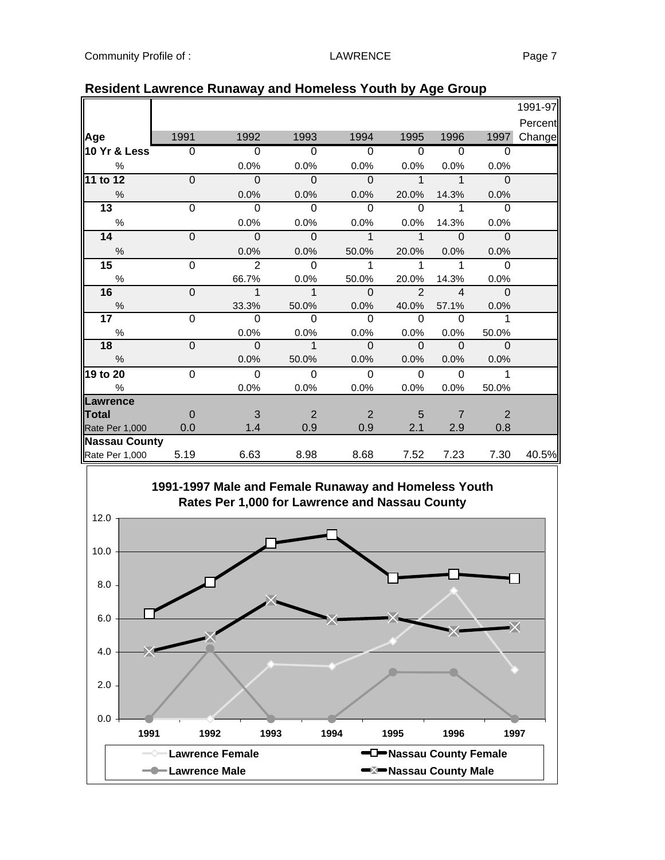|                                                                                                                |                |                |                |                |               |                         |                | 1991-97 |
|----------------------------------------------------------------------------------------------------------------|----------------|----------------|----------------|----------------|---------------|-------------------------|----------------|---------|
|                                                                                                                |                |                |                |                |               |                         |                | Percent |
| Age                                                                                                            | 1991           | 1992           | 1993           | 1994           | 1995          | 1996                    | 1997           | Change  |
| 10 Yr & Less                                                                                                   | $\mathbf 0$    | $\Omega$       | $\Omega$       | $\Omega$       | $\Omega$      | $\Omega$                | $\Omega$       |         |
| $\%$                                                                                                           |                | 0.0%           | 0.0%           | 0.0%           | 0.0%          | 0.0%                    | 0.0%           |         |
| 11 to 12                                                                                                       | $\overline{0}$ | $\overline{0}$ | $\overline{0}$ | $\overline{0}$ | $\mathbf{1}$  | $\overline{1}$          | $\overline{0}$ |         |
| $\%$                                                                                                           |                | 0.0%           | 0.0%           | 0.0%           | 20.0%         | 14.3%                   | 0.0%           |         |
| 13                                                                                                             | $\mathbf 0$    | $\overline{0}$ | $\overline{0}$ | $\Omega$       | 0             | 1                       | 0              |         |
| $\%$                                                                                                           |                | 0.0%           | 0.0%           | 0.0%           | 0.0%          | 14.3%                   | $0.0\%$        |         |
| 14                                                                                                             | $\overline{0}$ | $\overline{0}$ | $\overline{0}$ | $\mathbf 1$    | $\mathbf{1}$  | $\Omega$                | $\Omega$       |         |
| $\frac{9}{6}$                                                                                                  |                | 0.0%           | 0.0%           | 50.0%          | 20.0%         | 0.0%                    | 0.0%           |         |
| 15                                                                                                             | $\mathbf 0$    | $\overline{2}$ | $\overline{0}$ | 1              | 1             | 1                       | 0              |         |
| $\%$                                                                                                           |                | 66.7%          | 0.0%           | 50.0%          | 20.0%         | 14.3%                   | 0.0%           |         |
| 16                                                                                                             | $\pmb{0}$      | $\mathbf{1}$   | $\mathbf 1$    | $\Omega$       | $\mathcal{P}$ | $\overline{\mathbf{A}}$ | $\Omega$       |         |
| $\%$                                                                                                           |                | 33.3%          | 50.0%          | 0.0%           | 40.0%         | 57.1%                   | 0.0%           |         |
| $\overline{17}$                                                                                                | 0              | $\Omega$       | $\Omega$       | $\Omega$       | $\Omega$      | $\Omega$                | $\mathbf 1$    |         |
| $\%$                                                                                                           |                | 0.0%           | 0.0%           | 0.0%           | 0.0%          | 0.0%                    | 50.0%          |         |
| 18                                                                                                             | $\overline{0}$ | $\mathbf 0$    | $\mathbf{1}$   | $\mathbf 0$    | $\mathbf{0}$  | $\Omega$                | $\mathbf 0$    |         |
| $\frac{0}{0}$                                                                                                  |                | 0.0%           | 50.0%          | 0.0%           | 0.0%          | 0.0%                    | 0.0%           |         |
| 19 to 20                                                                                                       | $\overline{0}$ | $\overline{0}$ | 0              | $\mathbf 0$    | $\mathbf 0$   | $\Omega$                | $\mathbf 1$    |         |
| $\%$                                                                                                           |                | 0.0%           | 0.0%           | 0.0%           | 0.0%          | 0.0%                    | 50.0%          |         |
| Lawrence                                                                                                       |                |                |                |                |               |                         |                |         |
| Total                                                                                                          | $\mathbf 0$    | 3              | $\overline{2}$ | $\overline{2}$ | 5             | $\overline{7}$          | $\overline{2}$ |         |
| Rate Per 1,000                                                                                                 | 0.0            | 1.4            | 0.9            | 0.9            | 2.1           | 2.9                     | 0.8            |         |
| <b>Nassau County</b><br>Rate Per 1,000                                                                         | 5.19           | 6.63           | 8.98           | 8.68           | 7.52          | 7.23                    | 7.30           | 40.5%   |
| 1991-1997 Male and Female Runaway and Homeless Youth<br>Rates Per 1,000 for Lawrence and Nassau County<br>12.0 |                |                |                |                |               |                         |                |         |
| 10.0<br>8.0                                                                                                    |                |                |                |                |               |                         |                |         |
| 6.0                                                                                                            |                |                |                |                |               |                         |                |         |

## **Resident Lawrence Runaway and Homeless Youth by Age Group**

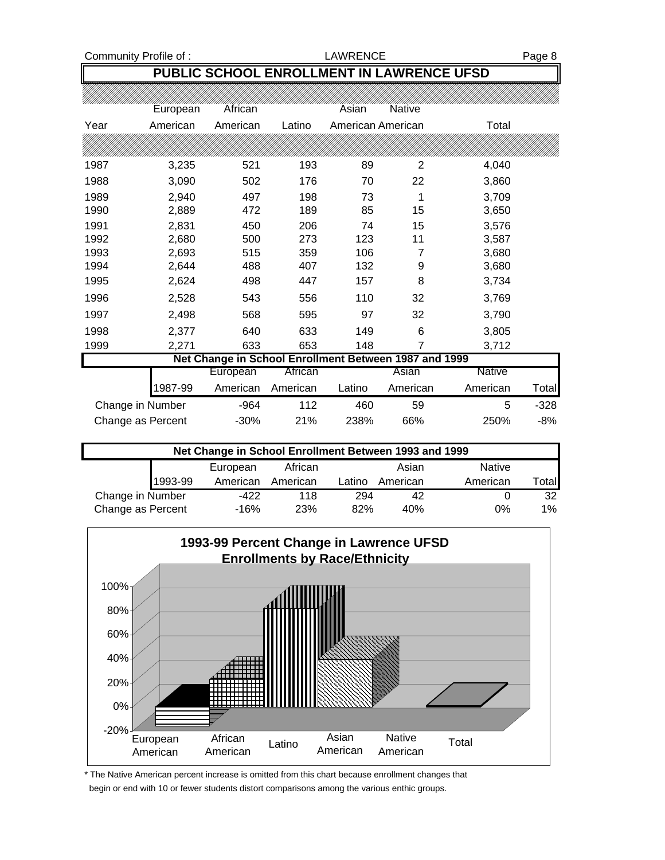Community Profile of : Community Profile of : Community Profile of : Community Profile of : Page 8

# **PUBLIC SCHOOL ENROLLMENT IN LAWRENCE UFSD**

|                                                       | European          | African  |          | Asian  | Native            |          |        |  |  |
|-------------------------------------------------------|-------------------|----------|----------|--------|-------------------|----------|--------|--|--|
| Year                                                  | American          | American | Latino   |        | American American | Total    |        |  |  |
|                                                       |                   |          |          |        |                   |          |        |  |  |
| 1987                                                  | 3,235             | 521      | 193      | 89     | 2                 | 4,040    |        |  |  |
| 1988                                                  | 3,090             | 502      | 176      | 70     | 22                | 3,860    |        |  |  |
| 1989                                                  | 2,940             | 497      | 198      | 73     | 1                 | 3,709    |        |  |  |
| 1990                                                  | 2,889             | 472      | 189      | 85     | 15                | 3,650    |        |  |  |
| 1991                                                  | 2,831             | 450      | 206      | 74     | 15                | 3,576    |        |  |  |
| 1992                                                  | 2,680             | 500      | 273      | 123    | 11                | 3,587    |        |  |  |
| 1993                                                  | 2,693             | 515      | 359      | 106    | 7                 | 3,680    |        |  |  |
| 1994                                                  | 2,644             | 488      | 407      | 132    | 9                 | 3,680    |        |  |  |
| 1995                                                  | 2,624             | 498      | 447      | 157    | 8                 | 3,734    |        |  |  |
| 1996                                                  | 2,528             | 543      | 556      | 110    | 32                | 3,769    |        |  |  |
| 1997                                                  | 2,498             | 568      | 595      | 97     | 32                | 3,790    |        |  |  |
| 1998                                                  | 2,377             | 640      | 633      | 149    | 6                 | 3,805    |        |  |  |
| 1999                                                  | 2,271             | 633      | 653      | 148    | 7                 | 3,712    |        |  |  |
| Net Change in School Enrollment Between 1987 and 1999 |                   |          |          |        |                   |          |        |  |  |
|                                                       |                   | European | African  |        | Asian             | Native   |        |  |  |
|                                                       | 1987-99           | American | American | Latino | American          | American | Total  |  |  |
|                                                       | Change in Number  | $-964$   | 112      | 460    | 59                | 5        | $-328$ |  |  |
|                                                       | Change as Percent | $-30%$   | 21%      | 238%   | 66%               | 250%     | $-8%$  |  |  |

| Net Change in School Enrollment Between 1993 and 1999 |         |          |          |        |          |               |              |  |
|-------------------------------------------------------|---------|----------|----------|--------|----------|---------------|--------------|--|
|                                                       |         | European | African  |        | Asian    | <b>Native</b> |              |  |
|                                                       | 1993-99 | American | American | Latino | American | American      | <b>Total</b> |  |
| Change in Number                                      |         | -422     | 118      | 294    | 42       |               | 32           |  |
| Change as Percent                                     |         | -16%     | 23%      | 82%    | 40%      | 0%            | 1%           |  |



\* The Native American percent increase is omitted from this chart because enrollment changes that begin or end with 10 or fewer students distort comparisons among the various enthic groups.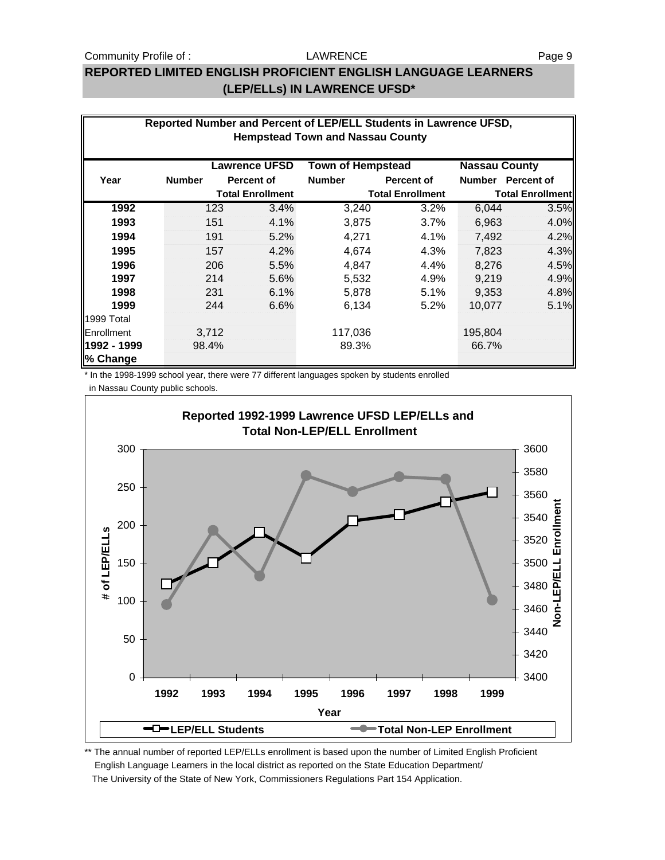### Community Profile of : COMMUNITY COMMUNITY Profile of : Page 9

#### LAWRENCE

## **REPORTED LIMITED ENGLISH PROFICIENT ENGLISH LANGUAGE LEARNERS (LEP/ELLs) IN LAWRENCE UFSD\***

| Reported Number and Percent of LEP/ELL Students in Lawrence UFSD,<br><b>Hempstead Town and Nassau County</b> |               |       |                         |                          |                         |                         |            |
|--------------------------------------------------------------------------------------------------------------|---------------|-------|-------------------------|--------------------------|-------------------------|-------------------------|------------|
|                                                                                                              |               |       |                         |                          |                         |                         |            |
|                                                                                                              |               |       | <b>Lawrence UFSD</b>    | <b>Town of Hempstead</b> |                         | <b>Nassau County</b>    |            |
| Year                                                                                                         | <b>Number</b> |       | <b>Percent of</b>       | <b>Number</b>            | <b>Percent of</b>       | <b>Number</b>           | Percent of |
|                                                                                                              |               |       | <b>Total Enrollment</b> |                          | <b>Total Enrollment</b> | <b>Total Enrollment</b> |            |
| 1992                                                                                                         |               | 123   | 3.4%                    | 3,240                    | 3.2%                    | 6,044                   | 3.5%       |
| 1993                                                                                                         |               | 151   | 4.1%                    | 3,875                    | 3.7%                    | 6,963                   | 4.0%       |
| 1994                                                                                                         |               | 191   | 5.2%                    | 4,271                    | 4.1%                    | 7,492                   | 4.2%       |
| 1995                                                                                                         |               | 157   | 4.2%                    | 4,674                    | 4.3%                    | 7,823                   | 4.3%       |
| 1996                                                                                                         |               | 206   | 5.5%                    | 4,847                    | 4.4%                    | 8,276                   | 4.5%       |
| 1997                                                                                                         |               | 214   | 5.6%                    | 5,532                    | 4.9%                    | 9,219                   | 4.9%       |
| 1998                                                                                                         |               | 231   | 6.1%                    | 5,878                    | 5.1%                    | 9,353                   | 4.8%       |
| 1999                                                                                                         |               | 244   | 6.6%                    | 6,134                    | 5.2%                    | 10,077                  | 5.1%       |
| 1999 Total                                                                                                   |               |       |                         |                          |                         |                         |            |
| Enrollment                                                                                                   |               | 3,712 |                         | 117,036                  |                         | 195,804                 |            |
| 1992 - 1999                                                                                                  |               | 98.4% |                         | 89.3%                    |                         | 66.7%                   |            |
| % Change                                                                                                     |               |       |                         |                          |                         |                         |            |

\* In the 1998-1999 school year, there were 77 different languages spoken by students enrolled in Nassau County public schools.

**Reported 1992-1999 Lawrence UFSD LEP/ELLs and Total Non-LEP/ELL Enrollment** 300 3600 3580 250 3560 Iment **Non-LEP/ELL Enrollment** 3540 200 # of LEP/ELLS **# of LEP/ELLs** Enrol 3520 150 3500 ш 3480 说 100 Non-I 3460 3440 50 3420 0 3400 **1992 1993 1994 1995 1996 1997 1998 1999 Year <del><del>I</del> LEP/ELL Students <b>The COVID-LEP** Enrollment</del>

\*\* The annual number of reported LEP/ELLs enrollment is based upon the number of Limited English Proficient English Language Learners in the local district as reported on the State Education Department/ The University of the State of New York, Commissioners Regulations Part 154 Application.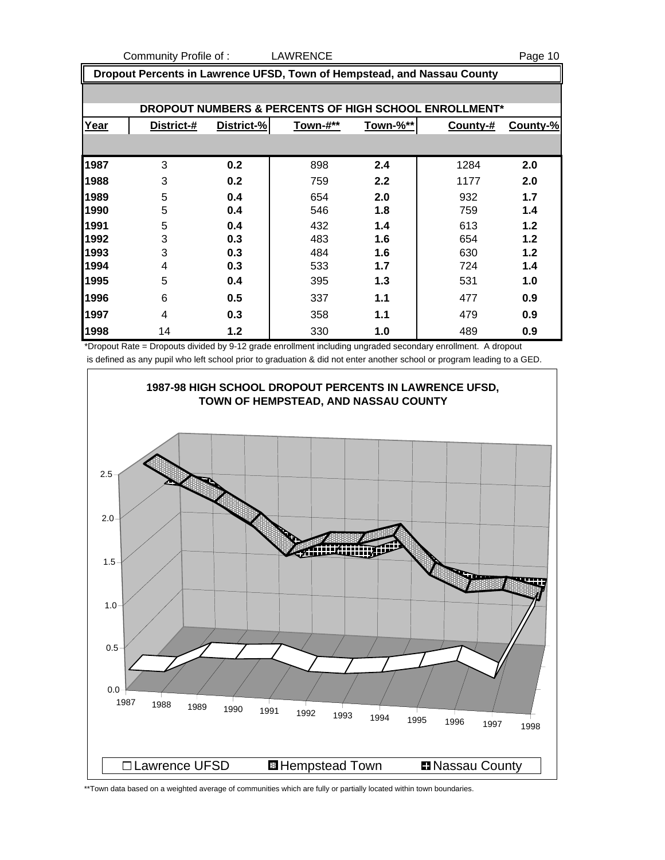Community Profile of : LAWRENCE **Example 20** Page 10

 **Dropout Percents in Lawrence UFSD, Town of Hempstead, and Nassau County DROPOUT NUMBERS & PERCENTS OF HIGH SCHOOL ENROLLMENT\* Year District-# District-% Town-#\*\* Town-%\*\* County-# County-%** 3 **0.2** 898 **2.4** 1284 **2.0** 3 **0.2** 759 **2.2** 1177 **2.0** 5 **0.4** 654 **2.0** 932 **1.7** 5 **0.4** 546 **1.8** 759 **1.4** 5 **0.4** 432 **1.4** 613 **1.2** 3 **0.3** 483 **1.6** 654 **1.2** 3 **0.3** 484 **1.6** 630 **1.2** 4 **0.3** 533 **1.7** 724 **1.4** 5 **0.4** 395 **1.3** 531 **1.0** 6 **0.5** 337 **1.1** 477 **0.9** 4 **0.3** 358 **1.1** 479 **0.9** 14 **1.2** 330 **1.0** 489 **0.9**

\*Dropout Rate = Dropouts divided by 9-12 grade enrollment including ungraded secondary enrollment. A dropout is defined as any pupil who left school prior to graduation & did not enter another school or program leading to a GED.



\*\*Town data based on a weighted average of communities which are fully or partially located within town boundaries.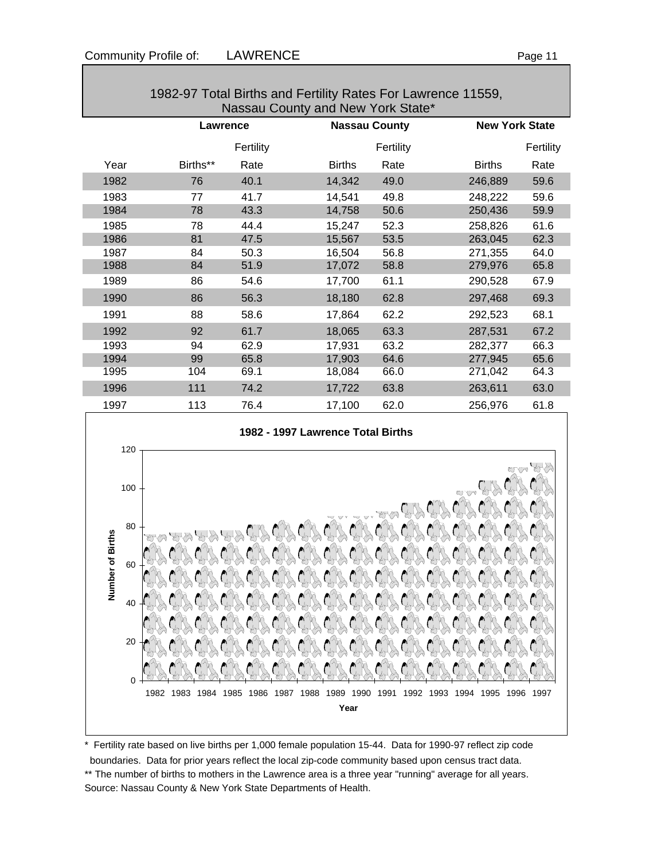| 1982-97 Total Births and Fertility Rates For Lawrence 11559, |  |
|--------------------------------------------------------------|--|
|                                                              |  |
| Nassau County and New York State*                            |  |

|      | Lawrence |           | <b>Nassau County</b>  | <b>New York State</b> |           |
|------|----------|-----------|-----------------------|-----------------------|-----------|
|      |          | Fertility | Fertility             |                       | Fertility |
| Year | Births** | Rate      | <b>Births</b><br>Rate | <b>Births</b>         | Rate      |
| 1982 | 76       | 40.1      | 14,342<br>49.0        | 246,889               | 59.6      |
| 1983 | 77       | 41.7      | 49.8<br>14,541        | 248,222               | 59.6      |
| 1984 | 78       | 43.3      | 14,758<br>50.6        | 250,436               | 59.9      |
| 1985 | 78       | 44.4      | 52.3<br>15,247        | 258,826               | 61.6      |
| 1986 | 81       | 47.5      | 15,567<br>53.5        | 263,045               | 62.3      |
| 1987 | 84       | 50.3      | 16,504<br>56.8        | 271,355               | 64.0      |
| 1988 | 84       | 51.9      | 58.8<br>17,072        | 279,976               | 65.8      |
| 1989 | 86       | 54.6      | 17,700<br>61.1        | 290,528               | 67.9      |
| 1990 | 86       | 56.3      | 18,180<br>62.8        | 297,468               | 69.3      |
| 1991 | 88       | 58.6      | 62.2<br>17,864        | 292,523               | 68.1      |
| 1992 | 92       | 61.7      | 18,065<br>63.3        | 287,531               | 67.2      |
| 1993 | 94       | 62.9      | 17,931<br>63.2        | 282,377               | 66.3      |
| 1994 | 99       | 65.8      | 17,903<br>64.6        | 277,945               | 65.6      |
| 1995 | 104      | 69.1      | 66.0<br>18,084        | 271,042               | 64.3      |
| 1996 | 111      | 74.2      | 63.8<br>17,722        | 263,611               | 63.0      |
| 1997 | 113      | 76.4      | 62.0<br>17,100        | 256,976               | 61.8      |

### **1982 - 1997 Lawrence Total Births**



\* Fertility rate based on live births per 1,000 female population 15-44. Data for 1990-97 reflect zip code boundaries. Data for prior years reflect the local zip-code community based upon census tract data. \*\* The number of births to mothers in the Lawrence area is a three year "running" average for all years. Source: Nassau County & New York State Departments of Health.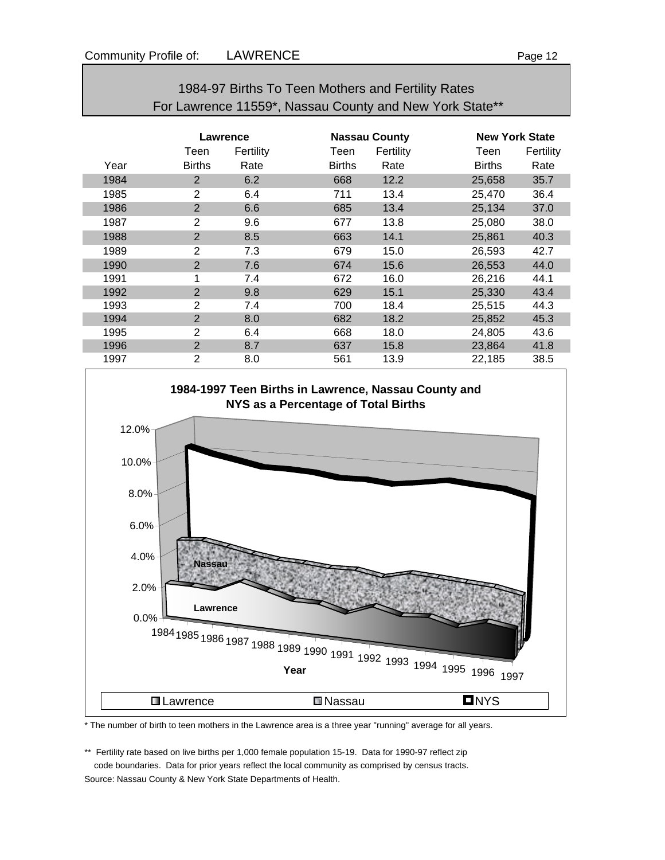| For Lawrence Trops, Nassau County and New York State |                |           |                      |           |                       |           |  |  |
|------------------------------------------------------|----------------|-----------|----------------------|-----------|-----------------------|-----------|--|--|
|                                                      |                |           |                      |           |                       |           |  |  |
|                                                      | Lawrence       |           | <b>Nassau County</b> |           | <b>New York State</b> |           |  |  |
|                                                      | Teen           | Fertility | Teen                 | Fertility | Teen                  | Fertility |  |  |
| Year                                                 | <b>Births</b>  | Rate      | <b>Births</b>        | Rate      | <b>Births</b>         | Rate      |  |  |
| 1984                                                 | $\overline{2}$ | 6.2       | 668                  | 12.2      | 25,658                | 35.7      |  |  |
| 1985                                                 | $\overline{2}$ | 6.4       | 711                  | 13.4      | 25,470                | 36.4      |  |  |
| 1986                                                 | $\overline{2}$ | 6.6       | 685                  | 13.4      | 25,134                | 37.0      |  |  |
| 1987                                                 | $\overline{2}$ | 9.6       | 677                  | 13.8      | 25,080                | 38.0      |  |  |
| 1988                                                 | $\overline{2}$ | 8.5       | 663                  | 14.1      | 25,861                | 40.3      |  |  |
| 1989                                                 | 2              | 7.3       | 679                  | 15.0      | 26,593                | 42.7      |  |  |
| 1990                                                 | $\overline{2}$ | 7.6       | 674                  | 15.6      | 26,553                | 44.0      |  |  |
| 1991                                                 | 1              | 7.4       | 672                  | 16.0      | 26,216                | 44.1      |  |  |
| 1992                                                 | $\overline{2}$ | 9.8       | 629                  | 15.1      | 25,330                | 43.4      |  |  |
| 1993                                                 | $\overline{2}$ | 7.4       | 700                  | 18.4      | 25,515                | 44.3      |  |  |
| 1994                                                 | $\overline{2}$ | 8.0       | 682                  | 18.2      | 25,852                | 45.3      |  |  |
| 1995                                                 | $\overline{2}$ | 6.4       | 668                  | 18.0      | 24,805                | 43.6      |  |  |
| 1996                                                 | $\overline{2}$ | 8.7       | 637                  | 15.8      | 23,864                | 41.8      |  |  |
| 1997                                                 | $\overline{2}$ | 8.0       | 561                  | 13.9      | 22,185                | 38.5      |  |  |



#### \* The number of birth to teen mothers in the Lawrence area is a three year "running" average for all years.

\*\* Fertility rate based on live births per 1,000 female population 15-19. Data for 1990-97 reflect zip code boundaries. Data for prior years reflect the local community as comprised by census tracts. Source: Nassau County & New York State Departments of Health.

1984-97 Births To Teen Mothers and Fertility Rates For Lawrence 11559\*, Nassau County and New York State\*\*